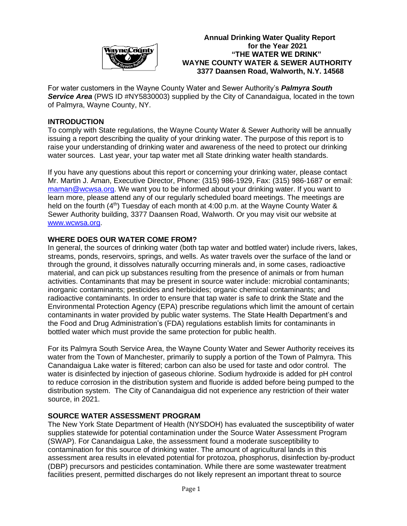

 **Annual Drinking Water Quality Report** *<u>For the Year 2021</u>*  **"THE WATER WE DRINK" WAYNE COUNTY WATER & SEWER AUTHORITY 3377 Daansen Road, Walworth, N.Y. 14568**

For water customers in the Wayne County Water and Sewer Authority's *Palmyra South Service Area* (PWS ID #NY5830003) supplied by the City of Canandaigua, located in the town of Palmyra, Wayne County, NY.

## **INTRODUCTION**

To comply with State regulations, the Wayne County Water & Sewer Authority will be annually issuing a report describing the quality of your drinking water. The purpose of this report is to raise your understanding of drinking water and awareness of the need to protect our drinking water sources. Last year, your tap water met all State drinking water health standards.

If you have any questions about this report or concerning your drinking water, please contact Mr. Martin J. Aman, Executive Director, Phone: (315) 986-1929, Fax: (315) 986-1687 or email: [maman@wcwsa.org.](mailto:maman@wcwsa.org) We want you to be informed about your drinking water. If you want to learn more, please attend any of our regularly scheduled board meetings. The meetings are held on the fourth  $(4<sup>th</sup>)$  Tuesday of each month at 4:00 p.m. at the Wayne County Water & Sewer Authority building, 3377 Daansen Road, Walworth. Or you may visit our website at [www.wcwsa.org.](http://www.wcwsa.org/)

## **WHERE DOES OUR WATER COME FROM?**

In general, the sources of drinking water (both tap water and bottled water) include rivers, lakes, streams, ponds, reservoirs, springs, and wells. As water travels over the surface of the land or through the ground, it dissolves naturally occurring minerals and, in some cases, radioactive material, and can pick up substances resulting from the presence of animals or from human activities. Contaminants that may be present in source water include: microbial contaminants; inorganic contaminants; pesticides and herbicides; organic chemical contaminants; and radioactive contaminants. In order to ensure that tap water is safe to drink the State and the Environmental Protection Agency (EPA) prescribe regulations which limit the amount of certain contaminants in water provided by public water systems. The State Health Department's and the Food and Drug Administration's (FDA) regulations establish limits for contaminants in bottled water which must provide the same protection for public health.

For its Palmyra South Service Area, the Wayne County Water and Sewer Authority receives its water from the Town of Manchester, primarily to supply a portion of the Town of Palmyra. This Canandaigua Lake water is filtered; carbon can also be used for taste and odor control. The water is disinfected by injection of gaseous chlorine. Sodium hydroxide is added for pH control to reduce corrosion in the distribution system and fluoride is added before being pumped to the distribution system. The City of Canandaigua did not experience any restriction of their water source, in 2021.

## **SOURCE WATER ASSESSMENT PROGRAM**

The New York State Department of Health (NYSDOH) has evaluated the susceptibility of water supplies statewide for potential contamination under the Source Water Assessment Program (SWAP). For Canandaigua Lake, the assessment found a moderate susceptibility to contamination for this source of drinking water. The amount of agricultural lands in this assessment area results in elevated potential for protozoa, phosphorus, disinfection by-product (DBP) precursors and pesticides contamination. While there are some wastewater treatment facilities present, permitted discharges do not likely represent an important threat to source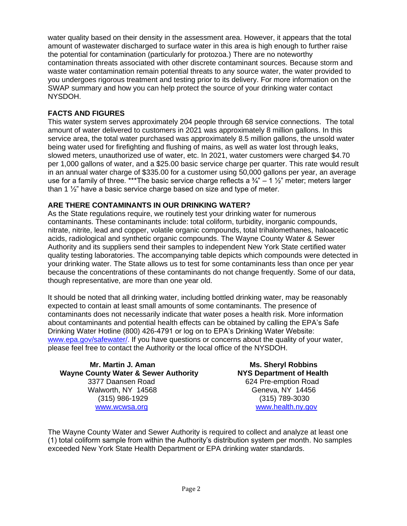water quality based on their density in the assessment area. However, it appears that the total amount of wastewater discharged to surface water in this area is high enough to further raise the potential for contamination (particularly for protozoa.) There are no noteworthy contamination threats associated with other discrete contaminant sources. Because storm and waste water contamination remain potential threats to any source water, the water provided to you undergoes rigorous treatment and testing prior to its delivery. For more information on the SWAP summary and how you can help protect the source of your drinking water contact NYSDOH.

# **FACTS AND FIGURES**

This water system serves approximately 204 people through 68 service connections. The total amount of water delivered to customers in 2021 was approximately 8 million gallons. In this service area, the total water purchased was approximately 8.5 million gallons, the unsold water being water used for firefighting and flushing of mains, as well as water lost through leaks, slowed meters, unauthorized use of water, etc. In 2021, water customers were charged \$4.70 per 1,000 gallons of water, and a \$25.00 basic service charge per quarter. This rate would result in an annual water charge of \$335.00 for a customer using 50,000 gallons per year, an average use for a family of three. \*\*\*The basic service charge reflects a  $\frac{3}{4}$ " – 1  $\frac{1}{2}$ " meter; meters larger than 1 ½" have a basic service charge based on size and type of meter.

# **ARE THERE CONTAMINANTS IN OUR DRINKING WATER?**

As the State regulations require, we routinely test your drinking water for numerous contaminants. These contaminants include: total coliform, turbidity, inorganic compounds, nitrate, nitrite, lead and copper, volatile organic compounds, total trihalomethanes, haloacetic acids, radiological and synthetic organic compounds. The Wayne County Water & Sewer Authority and its suppliers send their samples to independent New York State certified water quality testing laboratories. The accompanying table depicts which compounds were detected in your drinking water. The State allows us to test for some contaminants less than once per year because the concentrations of these contaminants do not change frequently. Some of our data, though representative, are more than one year old.

It should be noted that all drinking water, including bottled drinking water, may be reasonably expected to contain at least small amounts of some contaminants. The presence of contaminants does not necessarily indicate that water poses a health risk. More information about contaminants and potential health effects can be obtained by calling the EPA's Safe Drinking Water Hotline (800) 426-4791 or log on to EPA's Drinking Water Website: [www.epa.gov/safewater/.](http://www.epa.gov/safewater/) If you have questions or concerns about the quality of your water, please feel free to contact the Authority or the local office of the NYSDOH.

 **Mr. Martin J. Aman Ms. Sheryl Robbins Wayne County Water & Sewer Authority NYS Department of Health** 3377 Daansen Road 624 Pre-emption Road Walworth, NY 14568 Geneva, NY 14456 (315) 986-1929 (315) 789-3030 [www.wcwsa.](http://www.wcwsa/)org [www.health.ny.gov](http://www.health.ny.gov/)

The Wayne County Water and Sewer Authority is required to collect and analyze at least one (1) total coliform sample from within the Authority's distribution system per month. No samples exceeded New York State Health Department or EPA drinking water standards.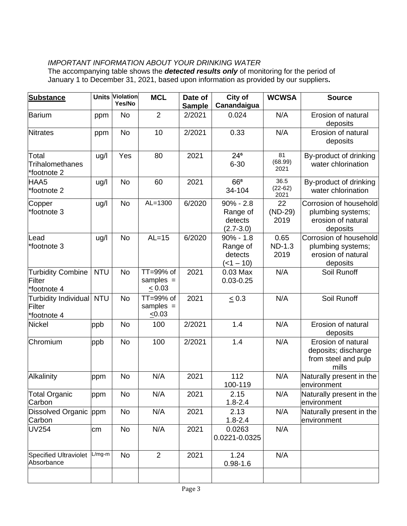# *IMPORTANT INFORMATION ABOUT YOUR DRINKING WATER*

The accompanying table shows the *detected results only* of monitoring for the period of January 1 to December 31, 2021, based upon information as provided by our suppliers**.**

| <b>Substance</b>                                  |            | <b>Units Violation</b><br>Yes/No | <b>MCL</b>                              | Date of       | City of                                              | <b>WCWSA</b>                  | <b>Source</b>                                                                 |
|---------------------------------------------------|------------|----------------------------------|-----------------------------------------|---------------|------------------------------------------------------|-------------------------------|-------------------------------------------------------------------------------|
|                                                   |            |                                  |                                         | <b>Sample</b> | Canandaigua                                          |                               |                                                                               |
| <b>Barium</b>                                     | ppm        | <b>No</b>                        | $\overline{2}$                          | 2/2021        | 0.024                                                | N/A                           | Erosion of natural<br>deposits                                                |
| <b>Nitrates</b>                                   | ppm        | <b>No</b>                        | 10                                      | 2/2021        | 0.33                                                 | N/A                           | Erosion of natural<br>deposits                                                |
| Total<br>Trihalomethanes<br>*footnote 2           | ug/l       | Yes                              | 80                                      | 2021          | $24^6$<br>$6 - 30$                                   | 81<br>(68.99)<br>2021         | By-product of drinking<br>water chlorination                                  |
| HAA5<br>*footnote 2                               | ug/l       | <b>No</b>                        | 60                                      | 2021          | 66 <sup>8</sup><br>34-104                            | 36.5<br>$(22-62)$<br>2021     | By-product of drinking<br>water chlorination                                  |
| Copper<br>*footnote 3                             | ug/l       | <b>No</b>                        | $AL=1300$                               | 6/2020        | $90\% - 2.8$<br>Range of<br>detects<br>$(2.7 - 3.0)$ | 22<br>$(ND-29)$<br>2019       | Corrosion of household<br>plumbing systems;<br>erosion of natural<br>deposits |
| Lead<br>*footnote 3                               | ug/l       | <b>No</b>                        | $AL=15$                                 | 6/2020        | $90\% - 1.8$<br>Range of<br>detects<br>$(-1 - 10)$   | 0.65<br><b>ND-1.3</b><br>2019 | Corrosion of household<br>plumbing systems;<br>erosion of natural<br>deposits |
| <b>Turbidity Combine</b><br>Filter<br>*footnote 4 | <b>NTU</b> | <b>No</b>                        | TT=99% of<br>samples $=$<br>$\leq 0.03$ | 2021          | 0.03 Max<br>$0.03 - 0.25$                            | N/A                           | Soil Runoff                                                                   |
| Turbidity Individual NTU<br>Filter<br>*footnote 4 |            | <b>No</b>                        | TT=99% of<br>samples $=$<br>$\leq 0.03$ | 2021          | $\leq 0.3$                                           | N/A                           | Soil Runoff                                                                   |
| <b>Nickel</b>                                     | ppb        | <b>No</b>                        | 100                                     | 2/2021        | 1.4                                                  | N/A                           | Erosion of natural<br>deposits                                                |
| Chromium                                          | ppb        | <b>No</b>                        | 100                                     | 2/2021        | 1.4                                                  | N/A                           | Erosion of natural<br>deposits; discharge<br>from steel and pulp<br>mills     |
| Alkalinity                                        | ppm        | No                               | N/A                                     | 2021          | 112<br>100-119                                       | N/A                           | Naturally present in the<br>environment                                       |
| <b>Total Organic</b><br>Carbon                    | ppm        | No                               | N/A                                     | 2021          | 2.15<br>$1.8 - 2.4$                                  | N/A                           | Naturally present in the<br>environment                                       |
| Dissolved Organic ppm<br>Carbon                   |            | <b>No</b>                        | N/A                                     | 2021          | 2.13<br>$1.8 - 2.4$                                  | N/A                           | Naturally present in the<br>environment                                       |
| <b>UV254</b>                                      | cm         | No                               | N/A                                     | 2021          | 0.0263<br>0.0221-0.0325                              | N/A                           |                                                                               |
| <b>Specified Ultraviolet</b><br>Absorbance        | $L/mg-m$   | No                               | 2                                       | 2021          | 1.24<br>$0.98 - 1.6$                                 | N/A                           |                                                                               |
|                                                   |            |                                  |                                         |               |                                                      |                               |                                                                               |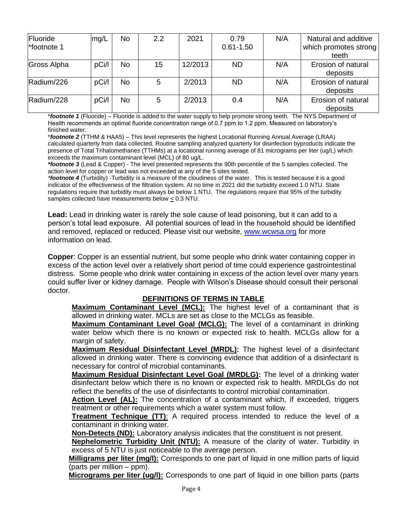| Fluoride<br>*footnote 1 | mg/L  | <b>No</b> | 2.2 | 2021    | 0.79<br>$0.61 - 1.50$ | N/A | Natural and additive<br>which promotes strong<br>teeth |
|-------------------------|-------|-----------|-----|---------|-----------------------|-----|--------------------------------------------------------|
| Gross Alpha             | pCi/l | <b>No</b> | 15  | 12/2013 | <b>ND</b>             | N/A | Erosion of natural<br>deposits                         |
| Radium/226              | pCi/I | <b>No</b> | 5   | 2/2013  | <b>ND</b>             | N/A | Erosion of natural<br>deposits                         |
| Radium/228              | pCi/l | <b>No</b> | 5   | 2/2013  | 0.4                   | N/A | Erosion of natural<br>deposits                         |

\**footnote 1* (Fluoride) – Fluoride is added to the water supply to help promote strong teeth. The NYS Department of Health recommends an optimal fluoride concentration range of 0.7 ppm to 1.2 ppm. Measured on laboratory's finished water.

\**footnote 2* (TTHM & HAA5) *–* This level represents the highest Locational Running Annual Average (LRAA) calculated quarterly from data collected. Routine sampling analyzed quarterly for disinfection byproducts indicate the presence of Total Trihalomethanes (TTHMs) at a locational running average of 81 micrograms per liter (ug/L) which exceeds the maximum contaminant level (MCL) of 80 ug/L.

*\*footnote 3* (Lead & Copper) - The level presented represents the 90th percentile of the 5 samples collected. The action level for copper or lead was not exceeded at any of the 5 sites tested.

*\*footnote 4* (Turbidity) -Turbidity is a measure of the cloudiness of the water. This is tested because it is a good indicator of the effectiveness of the filtration system. At no time in 2021 did the turbidity exceed 1.0 NTU. State regulations require that turbidity must always be below 1 NTU. The regulations require that 95% of the turbidity samples collected have measurements below < 0.3 NTU.

**Lead:** Lead in drinking water is rarely the sole cause of lead poisoning, but it can add to a person's total lead exposure. All potential sources of lead in the household should be identified and removed, replaced or reduced. Please visit our website, [www.wcwsa.org](http://www.wcwsa.org/) for more information on lead.

**Copper**: Copper is an essential nutrient, but some people who drink water containing copper in excess of the action level over a relatively short period of time could experience gastrointestinal distress. Some people who drink water containing in excess of the action level over many years could suffer liver or kidney damage. People with Wilson's Disease should consult their personal doctor.

## **DEFINITIONS OF TERMS IN TABLE**

**Maximum Contaminant Level (MCL):** The highest level of a contaminant that is allowed in drinking water. MCLs are set as close to the MCLGs as feasible.

**Maximum Contaminant Level Goal (MCLG):** The level of a contaminant in drinking water below which there is no known or expected risk to health. MCLGs allow for a margin of safety.

**Maximum Residual Disinfectant Level (MRDL):** The highest level of a disinfectant allowed in drinking water. There is convincing evidence that addition of a disinfectant is necessary for control of microbial contaminants.

**Maximum Residual Disinfectant Level Goal (MRDLG):** The level of a drinking water disinfectant below which there is no known or expected risk to health. MRDLGs do not reflect the benefits of the use of disinfectants to control microbial contamination.

**Action Level (AL):** The concentration of a contaminant which, if exceeded, triggers treatment or other requirements which a water system must follow.

**Treatment Technique (TT)**: A required process intended to reduce the level of a contaminant in drinking water.

**Non-Detects (ND):** Laboratory analysis indicates that the constituent is not present.

**Nephelometric Turbidity Unit (NTU):** A measure of the clarity of water. Turbidity in excess of 5 NTU is just noticeable to the average person.

**Milligrams per liter (mg/l):** Corresponds to one part of liquid in one million parts of liquid (parts per million – ppm).

**Micrograms per liter (ug/l):** Corresponds to one part of liquid in one billion parts (parts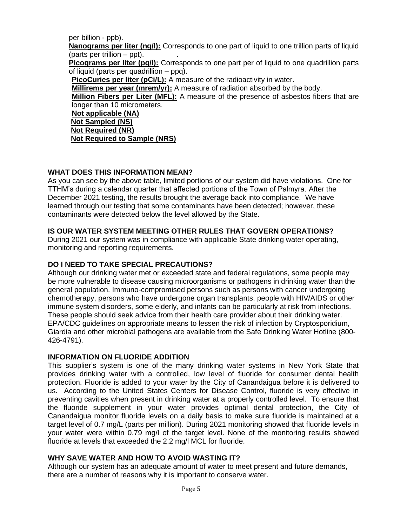per billion - ppb). **Nanograms per liter (ng/l):** Corresponds to one part of liquid to one trillion parts of liquid (parts per trillion  $-$  ppt). **Picograms per liter (pg/l):** Corresponds to one part per of liquid to one quadrillion parts of liquid (parts per quadrillion – ppq). **PicoCuries per liter (pCi/L):** A measure of the radioactivity in water. **Millirems per year (mrem/yr):** A measure of radiation absorbed by the body. **Million Fibers per Liter (MFL):** A measure of the presence of asbestos fibers that are longer than 10 micrometers. **Not applicable (NA) Not Sampled (NS)** 

**Not Required (NR) Not Required to Sample (NRS)**

#### **WHAT DOES THIS INFORMATION MEAN?**

As you can see by the above table, limited portions of our system did have violations. One for TTHM's during a calendar quarter that affected portions of the Town of Palmyra. After the December 2021 testing, the results brought the average back into compliance. We have learned through our testing that some contaminants have been detected; however, these contaminants were detected below the level allowed by the State.

#### **IS OUR WATER SYSTEM MEETING OTHER RULES THAT GOVERN OPERATIONS?**

During 2021 our system was in compliance with applicable State drinking water operating, monitoring and reporting requirements.

#### **DO I NEED TO TAKE SPECIAL PRECAUTIONS?**

Although our drinking water met or exceeded state and federal regulations, some people may be more vulnerable to disease causing microorganisms or pathogens in drinking water than the general population. Immuno-compromised persons such as persons with cancer undergoing chemotherapy, persons who have undergone organ transplants, people with HIV/AIDS or other immune system disorders, some elderly, and infants can be particularly at risk from infections. These people should seek advice from their health care provider about their drinking water. EPA/CDC guidelines on appropriate means to lessen the risk of infection by Cryptosporidium, Giardia and other microbial pathogens are available from the Safe Drinking Water Hotline (800- 426-4791).

#### **INFORMATION ON FLUORIDE ADDITION**

This supplier's system is one of the many drinking water systems in New York State that provides drinking water with a controlled, low level of fluoride for consumer dental health protection. Fluoride is added to your water by the City of Canandaigua before it is delivered to us. According to the United States Centers for Disease Control, fluoride is very effective in preventing cavities when present in drinking water at a properly controlled level. To ensure that the fluoride supplement in your water provides optimal dental protection, the City of Canandaigua monitor fluoride levels on a daily basis to make sure fluoride is maintained at a target level of 0.7 mg/L (parts per million). During 2021 monitoring showed that fluoride levels in your water were within 0.79 mg/l of the target level. None of the monitoring results showed fluoride at levels that exceeded the 2.2 mg/l MCL for fluoride.

#### **WHY SAVE WATER AND HOW TO AVOID WASTING IT?**

Although our system has an adequate amount of water to meet present and future demands, there are a number of reasons why it is important to conserve water.